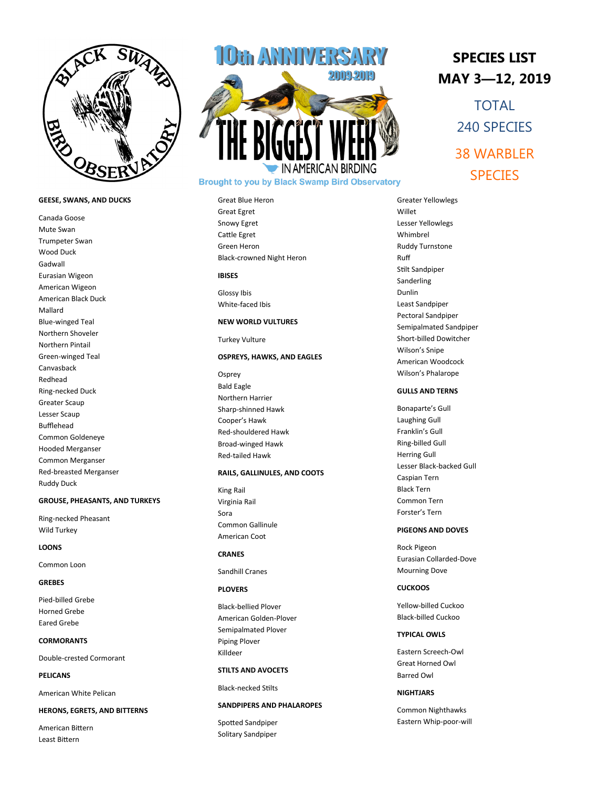

## **GEESE, SWANS, AND DUCKS**

Canada Goose Mute Swan Trumpeter Swan Wood Duck Gadwall Eurasian Wigeon American Wigeon American Black Duck Mallard Blue -winged Teal Northern Shoveler Northern Pintail Green -winged Teal Canvasback Redhead Ring -necked Duck Greater Scaup Lesser Scaup Bufflehead Common Goldeneye Hooded Merganser Common Merganser Red -breasted Merganser Ruddy Duck

## **GROUSE, PHEASANTS, AND TURKEYS**

Ring -necked Pheasant Wild Turkey

#### **LOONS**

Common Loon

## **GREBES**

Pied -billed Grebe Horned Grebe Eared Grebe

# **CORMORANTS**

Double -crested Cormorant

**PELICANS**

American White Pelican

#### **HERONS, EGRETS, AND BITTERNS**

American Bittern Least Bittern



# **Brought to you by Black Swamp Bird Observatory**

Great Blue Heron Great Egret Snowy Egret Cattle Egret Green Heron Black -crowned Night Heron

# **IBISES**

Glossy Ibis White -faced Ibis

# **NEW WORLD VULTURES**

Turkey Vulture

# **OSPREYS, HAWKS, AND EAGLES**

**Osprey** Bald Eagle Northern Harrier Sharp -shinned Hawk Cooper's Hawk Red -shouldered Hawk Broad -winged Hawk Red -tailed Hawk

# **RAILS, GALLINULES, AND COOTS**

King Rail Virginia Rail Sora Common Gallinule American Coot

# **CRANES**

Sandhill Cranes

# **PLOVERS**

Black -bellied Plover American Golden -Plover Semipalmated Plover Piping Plover Killdeer

#### **STILTS AND AVOCETS**

Black -necked Stilts

#### **SANDPIPERS AND PHALAROPES**

Spotted Sandpiper Solitary Sandpiper

# **SPECIES LIST MAY 3 —12, 2019**

TOTAL 240 SPECIES 38 WARBLER **SPECIES** 

Greater Yellowlegs Willet Lesser Yellowlegs Whimbrel Ruddy Turnstone Ruff Stilt Sandpiper Sanderling Dunlin Least Sandpiper Pectoral Sandpiper Semipalmated Sandpiper Short -billed Dowitcher Wilson's Snipe American Woodcock Wilson's Phalarope

## **GULLS AND TERNS**

Bonaparte's Gull Laughing Gull Franklin's Gull Ring -billed Gull Herring Gull Lesser Black -backed Gull Caspian Tern Black Tern Common Tern Forster's Tern

## **PIGEONS AND DOVES**

Rock Pigeon Eurasian Collarded -Dove Mourning Dove

## **CUCKOOS**

Yellow -billed Cuckoo Black -billed Cuckoo

### **TYPICAL OWLS**

Eastern Screech -Owl Great Horned Owl Barred Owl

#### **NIGHTJARS**

Common Nighthawks Eastern Whip -poor -will